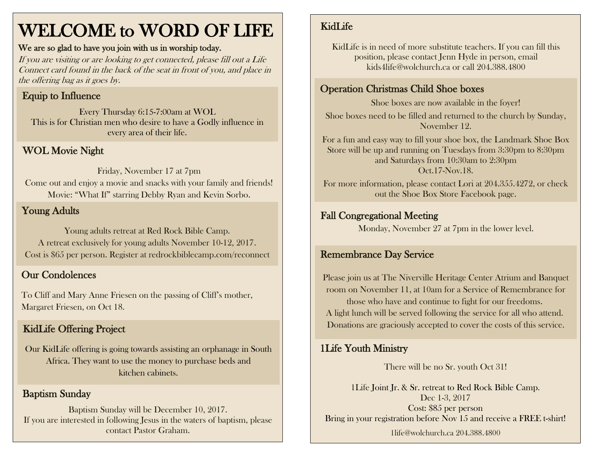# WELCOME to WORD OF LIFE

#### We are so glad to have you join with us in worship today.

If you are visiting or are looking to get connected, please fill out a Life Connect card found in the back of the seat in front of you, and place in the offering bag as it goes by.

## Equip to Influence

Every Thursday 6:15-7:00am at WOL This is for Christian men who desire to have a Godly influence in every area of their life.

#### WOL Movie Night

Friday, November 17 at 7pm Come out and enjoy a movie and snacks with your family and friends! Movie: "What If" starring Debby Ryan and Kevin Sorbo.

#### Young Adults

Young adults retreat at Red Rock Bible Camp. A retreat exclusively for young adults November 10-12, 2017. Cost is \$65 per person. Register at redrockbiblecamp.com/reconnect

#### Our Condolences

Margaret Friesen, on Oct 18. To Cliff and Mary Anne Friesen on the passing of Cliff's mother,

## KidLife Offering Project

Our KidLife offering is going towards assisting an orphanage in South Africa. They want to use the money to purchase beds and kitchen cabinets.

#### Baptism Sunday

Baptism Sunday will be December 10, 2017. If you are interested in following Jesus in the waters of baptism, please contact Pastor Graham.

## KidLife

KidLife is in need of more substitute teachers. If you can fill this position, please contact Jenn Hyde in person, email kids4life@wolchurch.ca or call 204.388.4800

#### Operation Christmas Child Shoe boxes

Shoe boxes are now available in the foyer! Shoe boxes need to be filled and returned to the church by Sunday, November 12.

For a fun and easy way to fill your shoe box, the Landmark Shoe Box Store will be up and running on Tuesdays from 3:30pm to 8:30pm and Saturdays from 10:30am to 2:30pm Oct.17-Nov.18.

For more information, please contact Lori at 204.355.4272, or check out the Shoe Box Store Facebook page.

#### Fall Congregational Meeting

Monday, November 27 at 7pm in the lower level.

#### Remembrance Day Service

Please join us at The Niverville Heritage Center Atrium and Banquet room on November 11, at 10am for a Service of Remembrance for those who have and continue to fight for our freedoms. A light lunch will be served following the service for all who attend. Donations are graciously accepted to cover the costs of this service.

### 1Life Youth Ministry

There will be no Sr. youth Oct 31!

1Life Joint Jr. & Sr. retreat to Red Rock Bible Camp. Dec 1-3, 2017 Cost: \$85 per person Bring in your registration before Nov 15 and receive a FREE t-shirt!

1life@wolchurch.ca 204.388.4800